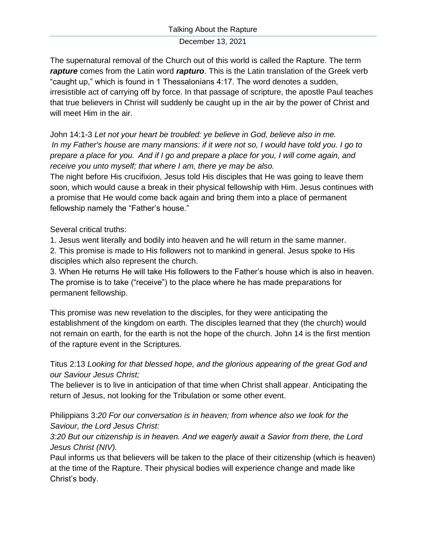## December 13, 2021

The supernatural removal of the Church out of this world is called the Rapture. The term *rapture* comes from the Latin word *rapturo*. This is the Latin translation of the Greek verb "caught up," which is found in 1 Thessalonians 4:17. The word denotes a sudden, irresistible act of carrying off by force. In that passage of scripture, the apostle Paul teaches that true believers in Christ will suddenly be caught up in the air by the power of Christ and will meet Him in the air.

John 14:1-3 *Let not your heart be troubled: ye believe in God, believe also in me. In my Father's house are many mansions: if it were not so, I would have told you. I go to prepare a place for you. And if I go and prepare a place for you, I will come again, and receive you unto myself; that where I am, there ye may be also.*

The night before His crucifixion, Jesus told His disciples that He was going to leave them soon, which would cause a break in their physical fellowship with Him. Jesus continues with a promise that He would come back again and bring them into a place of permanent fellowship namely the "Father's house."

Several critical truths:

1. Jesus went literally and bodily into heaven and he will return in the same manner. 2. This promise is made to His followers not to mankind in general. Jesus spoke to His disciples which also represent the church.

3. When He returns He will take His followers to the Father's house which is also in heaven. The promise is to take ("receive") to the place where he has made preparations for permanent fellowship.

This promise was new revelation to the disciples, for they were anticipating the establishment of the kingdom on earth. The disciples learned that they (the church) would not remain on earth, for the earth is not the hope of the church. John 14 is the first mention of the rapture event in the Scriptures.

Titus 2:13 *Looking for that blessed hope, and the glorious appearing of the great God and our Saviour Jesus Christ;*

The believer is to live in anticipation of that time when Christ shall appear. Anticipating the return of Jesus, not looking for the Tribulation or some other event.

Philippians 3:*20 For our conversation is in heaven; from whence also we look for the Saviour, the Lord Jesus Christ:*

*3:20 But our citizenship is in heaven. And we eagerly await a Savior from there, the Lord Jesus Christ (NIV).*

Paul informs us that believers will be taken to the place of their citizenship (which is heaven) at the time of the Rapture. Their physical bodies will experience change and made like Christ's body.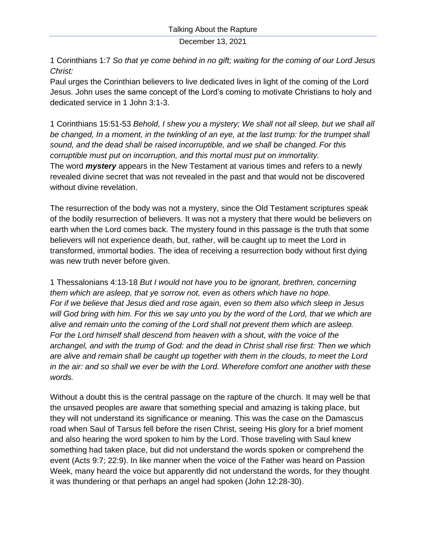December 13, 2021

1 Corinthians 1:7 *So that ye come behind in no gift; waiting for the coming of our Lord Jesus Christ:*

Paul urges the Corinthian believers to live dedicated lives in light of the coming of the Lord Jesus. John uses the same concept of the Lord's coming to motivate Christians to holy and dedicated service in 1 John 3:1-3.

1 Corinthians 15:51-53 *Behold, I shew you a mystery; We shall not all sleep, but we shall all be changed, In a moment, in the twinkling of an eye, at the last trump: for the trumpet shall sound, and the dead shall be raised incorruptible, and we shall be changed. For this corruptible must put on incorruption, and this mortal must put on immortality.* The word *mystery* appears in the New Testament at various times and refers to a newly revealed divine secret that was not revealed in the past and that would not be discovered without divine revelation.

The resurrection of the body was not a mystery, since the Old Testament scriptures speak of the bodily resurrection of believers. It was not a mystery that there would be believers on earth when the Lord comes back. The mystery found in this passage is the truth that some believers will not experience death, but, rather, will be caught up to meet the Lord in transformed, immortal bodies. The idea of receiving a resurrection body without first dying was new truth never before given.

1 Thessalonians 4:13-18 *But I would not have you to be ignorant, brethren, concerning them which are asleep, that ye sorrow not, even as others which have no hope. For if we believe that Jesus died and rose again, even so them also which sleep in Jesus will God bring with him. For this we say unto you by the word of the Lord, that we which are alive and remain unto the coming of the Lord shall not prevent them which are asleep. For the Lord himself shall descend from heaven with a shout, with the voice of the archangel, and with the trump of God: and the dead in Christ shall rise first: Then we which are alive and remain shall be caught up together with them in the clouds, to meet the Lord in the air: and so shall we ever be with the Lord. Wherefore comfort one another with these words.*

Without a doubt this is the central passage on the rapture of the church. It may well be that the unsaved peoples are aware that something special and amazing is taking place, but they will not understand its significance or meaning. This was the case on the Damascus road when Saul of Tarsus fell before the risen Christ, seeing His glory for a brief moment and also hearing the word spoken to him by the Lord. Those traveling with Saul knew something had taken place, but did not understand the words spoken or comprehend the event (Acts 9:7; 22:9). In like manner when the voice of the Father was heard on Passion Week, many heard the voice but apparently did not understand the words, for they thought it was thundering or that perhaps an angel had spoken (John 12:28-30).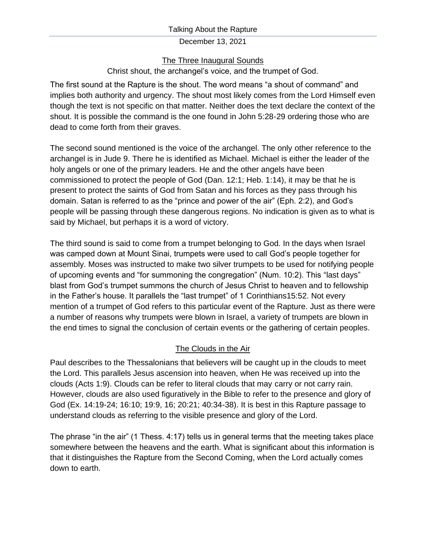### Talking About the Rapture

### December 13, 2021

## The Three Inaugural Sounds

# Christ shout, the archangel's voice, and the trumpet of God.

The first sound at the Rapture is the shout. The word means "a shout of command" and implies both authority and urgency. The shout most likely comes from the Lord Himself even though the text is not specific on that matter. Neither does the text declare the context of the shout. It is possible the command is the one found in John 5:28-29 ordering those who are dead to come forth from their graves.

The second sound mentioned is the voice of the archangel. The only other reference to the archangel is in Jude 9. There he is identified as Michael. Michael is either the leader of the holy angels or one of the primary leaders. He and the other angels have been commissioned to protect the people of God (Dan. 12:1; Heb. 1:14), it may be that he is present to protect the saints of God from Satan and his forces as they pass through his domain. Satan is referred to as the "prince and power of the air" (Eph. 2:2), and God's people will be passing through these dangerous regions. No indication is given as to what is said by Michael, but perhaps it is a word of victory.

The third sound is said to come from a trumpet belonging to God. In the days when Israel was camped down at Mount Sinai, trumpets were used to call God's people together for assembly. Moses was instructed to make two silver trumpets to be used for notifying people of upcoming events and "for summoning the congregation" (Num. 10:2). This "last days" blast from God's trumpet summons the church of Jesus Christ to heaven and to fellowship in the Father's house. It parallels the "last trumpet" of 1 Corinthians15:52. Not every mention of a trumpet of God refers to this particular event of the Rapture. Just as there were a number of reasons why trumpets were blown in Israel, a variety of trumpets are blown in the end times to signal the conclusion of certain events or the gathering of certain peoples.

# The Clouds in the Air

Paul describes to the Thessalonians that believers will be caught up in the clouds to meet the Lord. This parallels Jesus ascension into heaven, when He was received up into the clouds (Acts 1:9). Clouds can be refer to literal clouds that may carry or not carry rain. However, clouds are also used figuratively in the Bible to refer to the presence and glory of God (Ex. 14:19-24; 16:10; 19:9, 16; 20:21; 40:34-38). It is best in this Rapture passage to understand clouds as referring to the visible presence and glory of the Lord.

The phrase "in the air" (1 Thess. 4:17) tells us in general terms that the meeting takes place somewhere between the heavens and the earth. What is significant about this information is that it distinguishes the Rapture from the Second Coming, when the Lord actually comes down to earth.